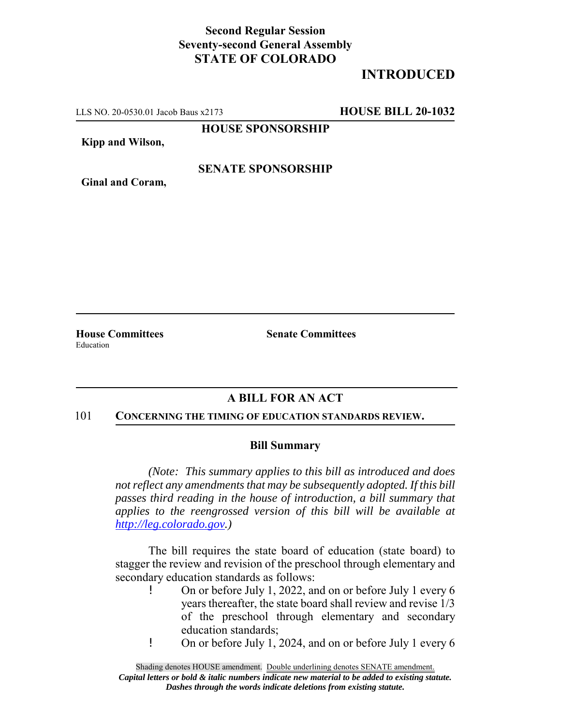## **Second Regular Session Seventy-second General Assembly STATE OF COLORADO**

# **INTRODUCED**

LLS NO. 20-0530.01 Jacob Baus x2173 **HOUSE BILL 20-1032**

**HOUSE SPONSORSHIP**

**Kipp and Wilson,**

### **SENATE SPONSORSHIP**

**Ginal and Coram,**

Education

**House Committees Senate Committees** 

## **A BILL FOR AN ACT**

#### 101 **CONCERNING THE TIMING OF EDUCATION STANDARDS REVIEW.**

### **Bill Summary**

*(Note: This summary applies to this bill as introduced and does not reflect any amendments that may be subsequently adopted. If this bill passes third reading in the house of introduction, a bill summary that applies to the reengrossed version of this bill will be available at http://leg.colorado.gov.)*

The bill requires the state board of education (state board) to stagger the review and revision of the preschool through elementary and secondary education standards as follows:

- ! On or before July 1, 2022, and on or before July 1 every 6 years thereafter, the state board shall review and revise 1/3 of the preschool through elementary and secondary education standards;
- ! On or before July 1, 2024, and on or before July 1 every 6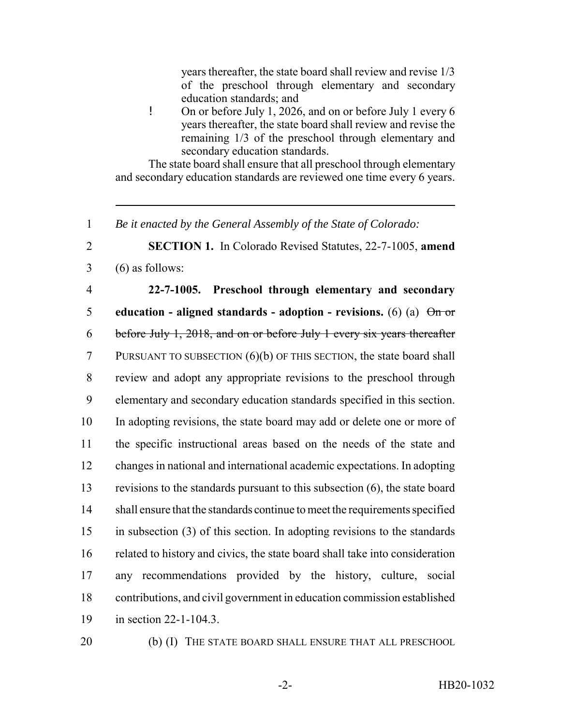years thereafter, the state board shall review and revise 1/3 of the preschool through elementary and secondary education standards; and

! On or before July 1, 2026, and on or before July 1 every 6 years thereafter, the state board shall review and revise the remaining 1/3 of the preschool through elementary and secondary education standards.

The state board shall ensure that all preschool through elementary and secondary education standards are reviewed one time every 6 years.

1 *Be it enacted by the General Assembly of the State of Colorado:*

2 **SECTION 1.** In Colorado Revised Statutes, 22-7-1005, **amend**  $3 \quad (6)$  as follows:

 **22-7-1005. Preschool through elementary and secondary education - aligned standards - adoption - revisions.** (6) (a)  $\Theta$  or before July 1, 2018, and on or before July 1 every six years thereafter PURSUANT TO SUBSECTION (6)(b) OF THIS SECTION, the state board shall review and adopt any appropriate revisions to the preschool through elementary and secondary education standards specified in this section. In adopting revisions, the state board may add or delete one or more of the specific instructional areas based on the needs of the state and changes in national and international academic expectations. In adopting revisions to the standards pursuant to this subsection (6), the state board shall ensure that the standards continue to meet the requirements specified in subsection (3) of this section. In adopting revisions to the standards related to history and civics, the state board shall take into consideration any recommendations provided by the history, culture, social contributions, and civil government in education commission established in section 22-1-104.3.

20 (b) (I) THE STATE BOARD SHALL ENSURE THAT ALL PRESCHOOL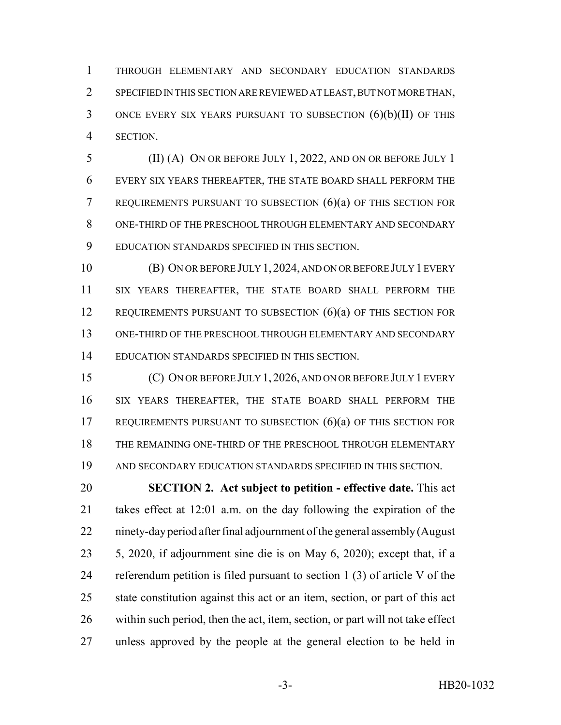THROUGH ELEMENTARY AND SECONDARY EDUCATION STANDARDS SPECIFIED IN THIS SECTION ARE REVIEWED AT LEAST, BUT NOT MORE THAN, ONCE EVERY SIX YEARS PURSUANT TO SUBSECTION (6)(b)(II) OF THIS SECTION.

 (II) (A) ON OR BEFORE JULY 1, 2022, AND ON OR BEFORE JULY 1 EVERY SIX YEARS THEREAFTER, THE STATE BOARD SHALL PERFORM THE REQUIREMENTS PURSUANT TO SUBSECTION (6)(a) OF THIS SECTION FOR ONE-THIRD OF THE PRESCHOOL THROUGH ELEMENTARY AND SECONDARY EDUCATION STANDARDS SPECIFIED IN THIS SECTION.

 (B) ON OR BEFORE JULY 1, 2024, AND ON OR BEFORE JULY 1 EVERY SIX YEARS THEREAFTER, THE STATE BOARD SHALL PERFORM THE 12 REQUIREMENTS PURSUANT TO SUBSECTION (6)(a) OF THIS SECTION FOR ONE-THIRD OF THE PRESCHOOL THROUGH ELEMENTARY AND SECONDARY EDUCATION STANDARDS SPECIFIED IN THIS SECTION.

 (C) ON OR BEFORE JULY 1,2026, AND ON OR BEFORE JULY 1 EVERY SIX YEARS THEREAFTER, THE STATE BOARD SHALL PERFORM THE REQUIREMENTS PURSUANT TO SUBSECTION (6)(a) OF THIS SECTION FOR THE REMAINING ONE-THIRD OF THE PRESCHOOL THROUGH ELEMENTARY AND SECONDARY EDUCATION STANDARDS SPECIFIED IN THIS SECTION.

 **SECTION 2. Act subject to petition - effective date.** This act takes effect at 12:01 a.m. on the day following the expiration of the ninety-day period after final adjournment of the general assembly (August 5, 2020, if adjournment sine die is on May 6, 2020); except that, if a referendum petition is filed pursuant to section 1 (3) of article V of the state constitution against this act or an item, section, or part of this act within such period, then the act, item, section, or part will not take effect unless approved by the people at the general election to be held in